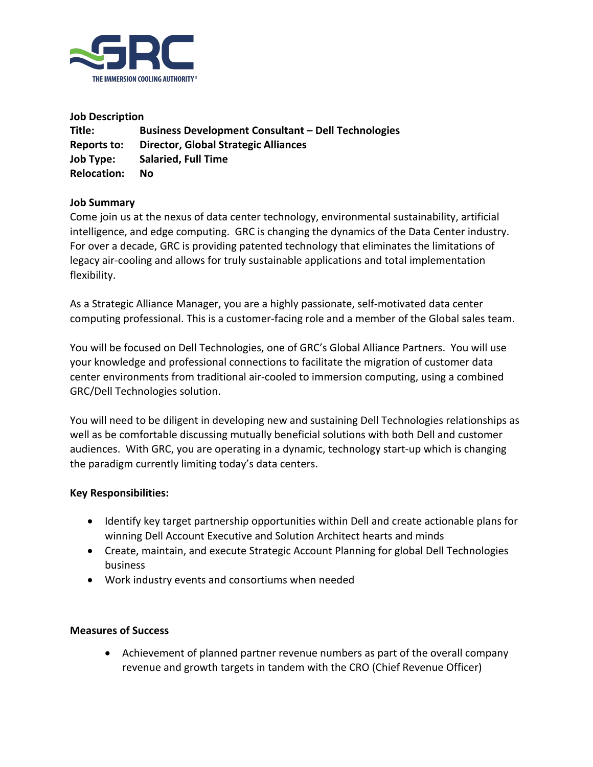

**Job Description Title: Business Development Consultant – Dell Technologies Reports to: Director, Global Strategic Alliances Job Type: Salaried, Full Time Relocation: No**

# **Job Summary**

Come join us at the nexus of data center technology, environmental sustainability, artificial intelligence, and edge computing. GRC is changing the dynamics of the Data Center industry. For over a decade, GRC is providing patented technology that eliminates the limitations of legacy air-cooling and allows for truly sustainable applications and total implementation flexibility.

As a Strategic Alliance Manager, you are a highly passionate, self-motivated data center computing professional. This is a customer-facing role and a member of the Global sales team.

You will be focused on Dell Technologies, one of GRC's Global Alliance Partners. You will use your knowledge and professional connections to facilitate the migration of customer data center environments from traditional air-cooled to immersion computing, using a combined GRC/Dell Technologies solution.

You will need to be diligent in developing new and sustaining Dell Technologies relationships as well as be comfortable discussing mutually beneficial solutions with both Dell and customer audiences. With GRC, you are operating in a dynamic, technology start-up which is changing the paradigm currently limiting today's data centers.

# **Key Responsibilities:**

- Identify key target partnership opportunities within Dell and create actionable plans for winning Dell Account Executive and Solution Architect hearts and minds
- Create, maintain, and execute Strategic Account Planning for global Dell Technologies business
- Work industry events and consortiums when needed

### **Measures of Success**

• Achievement of planned partner revenue numbers as part of the overall company revenue and growth targets in tandem with the CRO (Chief Revenue Officer)